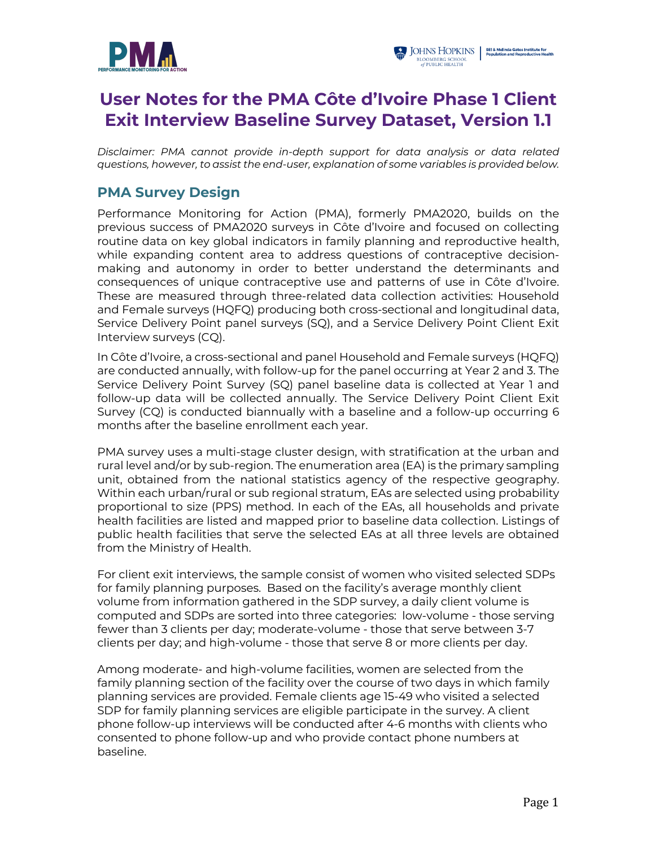



# **User Notes for the PMA Côte d'Ivoire Phase 1 Client Exit Interview Baseline Survey Dataset, Version 1.1**

*Disclaimer: PMA cannot provide in-depth support for data analysis or data related questions, however, to assist the end-user, explanation of some variables is provided below.*

# **PMA Survey Design**

Performance Monitoring for Action (PMA), formerly PMA2020, builds on the previous success of PMA2020 surveys in Côte d'Ivoire and focused on collecting routine data on key global indicators in family planning and reproductive health, while expanding content area to address questions of contraceptive decisionmaking and autonomy in order to better understand the determinants and consequences of unique contraceptive use and patterns of use in Côte d'Ivoire. These are measured through three-related data collection activities: Household and Female surveys (HQFQ) producing both cross-sectional and longitudinal data, Service Delivery Point panel surveys (SQ), and a Service Delivery Point Client Exit Interview surveys (CQ).

In Côte d'Ivoire, a cross-sectional and panel Household and Female surveys (HQFQ) are conducted annually, with follow-up for the panel occurring at Year 2 and 3. The Service Delivery Point Survey (SQ) panel baseline data is collected at Year 1 and follow-up data will be collected annually. The Service Delivery Point Client Exit Survey (CQ) is conducted biannually with a baseline and a follow-up occurring 6 months after the baseline enrollment each year.

PMA survey uses a multi-stage cluster design, with stratification at the urban and rural level and/or by sub-region. The enumeration area (EA) is the primary sampling unit, obtained from the national statistics agency of the respective geography. Within each urban/rural or sub regional stratum, EAs are selected using probability proportional to size (PPS) method. In each of the EAs, all households and private health facilities are listed and mapped prior to baseline data collection. Listings of public health facilities that serve the selected EAs at all three levels are obtained from the Ministry of Health.

For client exit interviews, the sample consist of women who visited selected SDPs for family planning purposes. Based on the facility's average monthly client volume from information gathered in the SDP survey, a daily client volume is computed and SDPs are sorted into three categories: low-volume - those serving fewer than 3 clients per day; moderate-volume - those that serve between 3-7 clients per day; and high-volume - those that serve 8 or more clients per day.

Among moderate- and high-volume facilities, women are selected from the family planning section of the facility over the course of two days in which family planning services are provided. Female clients age 15-49 who visited a selected SDP for family planning services are eligible participate in the survey. A client phone follow-up interviews will be conducted after 4-6 months with clients who consented to phone follow-up and who provide contact phone numbers at baseline.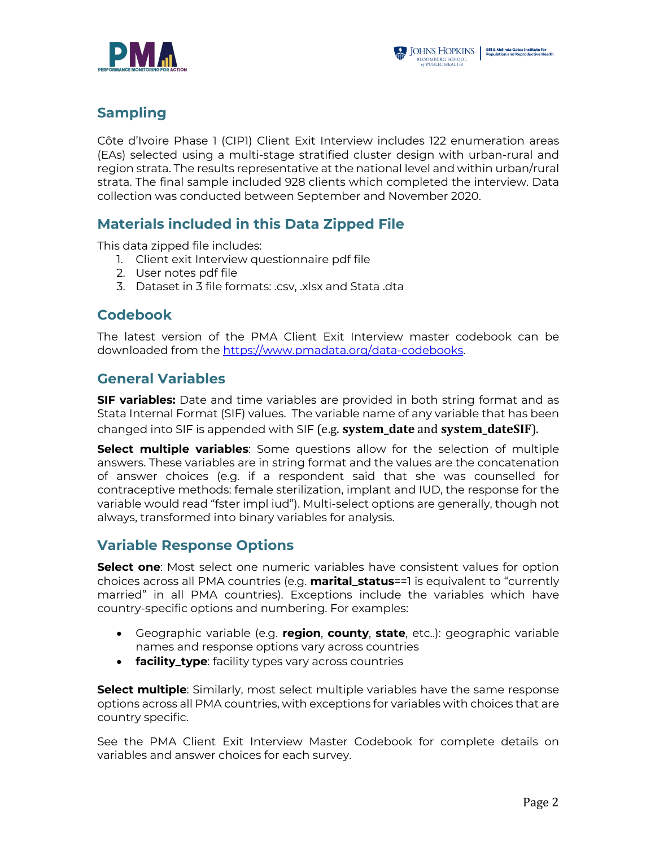



# **Sampling**

Côte d'Ivoire Phase 1 (CIP1) Client Exit Interview includes 122 enumeration areas (EAs) selected using a multi-stage stratified cluster design with urban-rural and region strata. The results representative at the national level and within urban/rural strata. The final sample included 928 clients which completed the interview. Data collection was conducted between September and November 2020.

# **Materials included in this Data Zipped File**

This data zipped file includes:

- 1. Client exit Interview questionnaire pdf file
- 2. User notes pdf file
- 3. Dataset in 3 file formats: .csv, .xlsx and Stata .dta

# **Codebook**

The latest version of the PMA Client Exit Interview master codebook can be downloaded from the https://www.pmadata.org/data-codebooks.

# **General Variables**

**SIF variables:** Date and time variables are provided in both string format and as Stata Internal Format (SIF) values. The variable name of any variable that has been changed into SIF is appended with SIF (e.g. **system\_date** and **system\_dateSIF**).

**Select multiple variables**: Some questions allow for the selection of multiple answers. These variables are in string format and the values are the concatenation of answer choices (e.g. if a respondent said that she was counselled for contraceptive methods: female sterilization, implant and IUD, the response for the variable would read "fster impl iud"). Multi-select options are generally, though not always, transformed into binary variables for analysis.

# **Variable Response Options**

**Select one**: Most select one numeric variables have consistent values for option choices across all PMA countries (e.g. **marital\_status**==1 is equivalent to "currently married" in all PMA countries). Exceptions include the variables which have country-specific options and numbering. For examples:

- Geographic variable (e.g. **region**, **county**, **state**, etc..): geographic variable names and response options vary across countries
- **facility\_type**: facility types vary across countries

**Select multiple**: Similarly, most select multiple variables have the same response options across all PMA countries, with exceptions for variables with choices that are country specific.

See the PMA Client Exit Interview Master Codebook for complete details on variables and answer choices for each survey.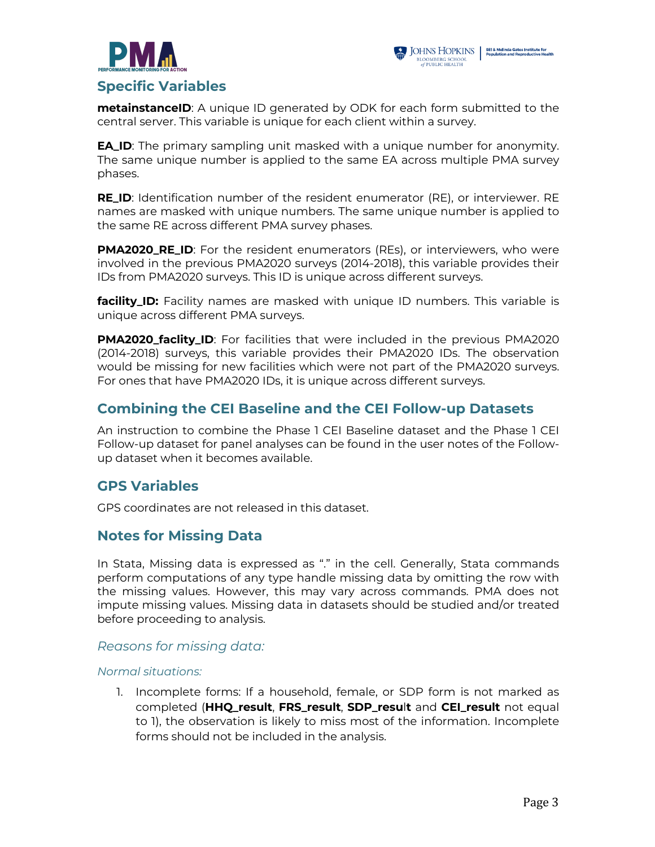



# **Specific Variables**

**metainstanceID**: A unique ID generated by ODK for each form submitted to the central server. This variable is unique for each client within a survey.

**EA\_ID**: The primary sampling unit masked with a unique number for anonymity. The same unique number is applied to the same EA across multiple PMA survey phases.

**RE\_ID**: Identification number of the resident enumerator (RE), or interviewer. RE names are masked with unique numbers. The same unique number is applied to the same RE across different PMA survey phases.

**PMA2020\_RE\_ID**: For the resident enumerators (REs), or interviewers, who were involved in the previous PMA2020 surveys (2014-2018), this variable provides their IDs from PMA2020 surveys. This ID is unique across different surveys.

**facility\_ID:** Facility names are masked with unique ID numbers. This variable is unique across different PMA surveys.

**PMA2020\_faclity\_ID**: For facilities that were included in the previous PMA2020 (2014-2018) surveys, this variable provides their PMA2020 IDs. The observation would be missing for new facilities which were not part of the PMA2020 surveys. For ones that have PMA2020 IDs, it is unique across different surveys.

# **Combining the CEI Baseline and the CEI Follow-up Datasets**

An instruction to combine the Phase 1 CEI Baseline dataset and the Phase 1 CEI Follow-up dataset for panel analyses can be found in the user notes of the Followup dataset when it becomes available.

# **GPS Variables**

GPS coordinates are not released in this dataset.

# **Notes for Missing Data**

In Stata, Missing data is expressed as "." in the cell. Generally, Stata commands perform computations of any type handle missing data by omitting the row with the missing values. However, this may vary across commands. PMA does not impute missing values. Missing data in datasets should be studied and/or treated before proceeding to analysis.

#### *Reasons for missing data:*

#### *Normal situations:*

1. Incomplete forms: If a household, female, or SDP form is not marked as completed (**HHQ\_result**, **FRS\_result**, **SDP\_resu**l**t** and **CEI\_result** not equal to 1), the observation is likely to miss most of the information. Incomplete forms should not be included in the analysis.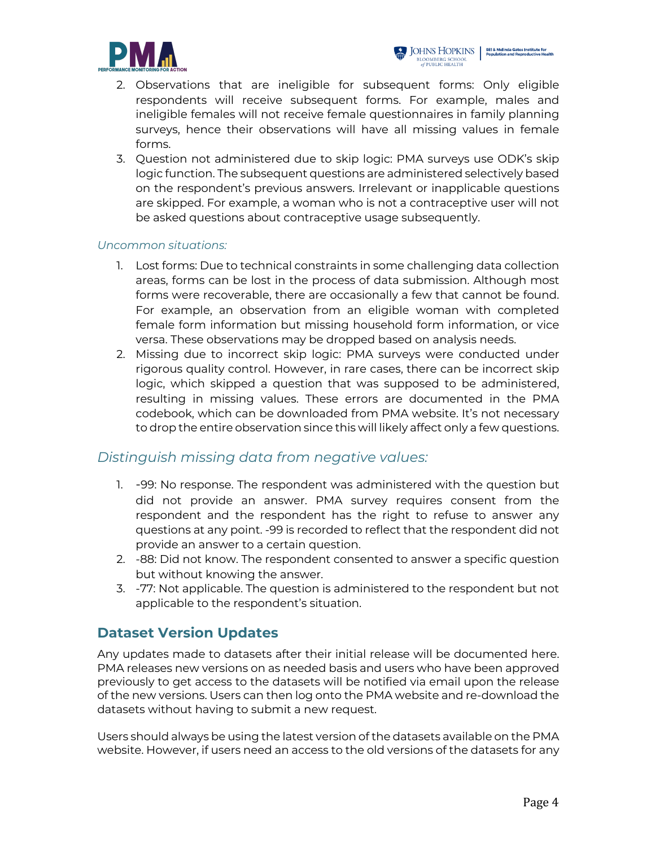



- 2. Observations that are ineligible for subsequent forms: Only eligible respondents will receive subsequent forms. For example, males and ineligible females will not receive female questionnaires in family planning surveys, hence their observations will have all missing values in female forms.
- 3. Question not administered due to skip logic: PMA surveys use ODK's skip logic function. The subsequent questions are administered selectively based on the respondent's previous answers. Irrelevant or inapplicable questions are skipped. For example, a woman who is not a contraceptive user will not be asked questions about contraceptive usage subsequently.

#### *Uncommon situations:*

- 1. Lost forms: Due to technical constraints in some challenging data collection areas, forms can be lost in the process of data submission. Although most forms were recoverable, there are occasionally a few that cannot be found. For example, an observation from an eligible woman with completed female form information but missing household form information, or vice versa. These observations may be dropped based on analysis needs.
- 2. Missing due to incorrect skip logic: PMA surveys were conducted under rigorous quality control. However, in rare cases, there can be incorrect skip logic, which skipped a question that was supposed to be administered, resulting in missing values. These errors are documented in the PMA codebook, which can be downloaded from PMA website. It's not necessary to drop the entire observation since this will likely affect only a few questions.

# *Distinguish missing data from negative values:*

- 1. -99: No response. The respondent was administered with the question but did not provide an answer. PMA survey requires consent from the respondent and the respondent has the right to refuse to answer any questions at any point. -99 is recorded to reflect that the respondent did not provide an answer to a certain question.
- 2. -88: Did not know. The respondent consented to answer a specific question but without knowing the answer.
- 3. -77: Not applicable. The question is administered to the respondent but not applicable to the respondent's situation.

# **Dataset Version Updates**

Any updates made to datasets after their initial release will be documented here. PMA releases new versions on as needed basis and users who have been approved previously to get access to the datasets will be notified via email upon the release of the new versions. Users can then log onto the PMA website and re-download the datasets without having to submit a new request.

Users should always be using the latest version of the datasets available on the PMA website. However, if users need an access to the old versions of the datasets for any